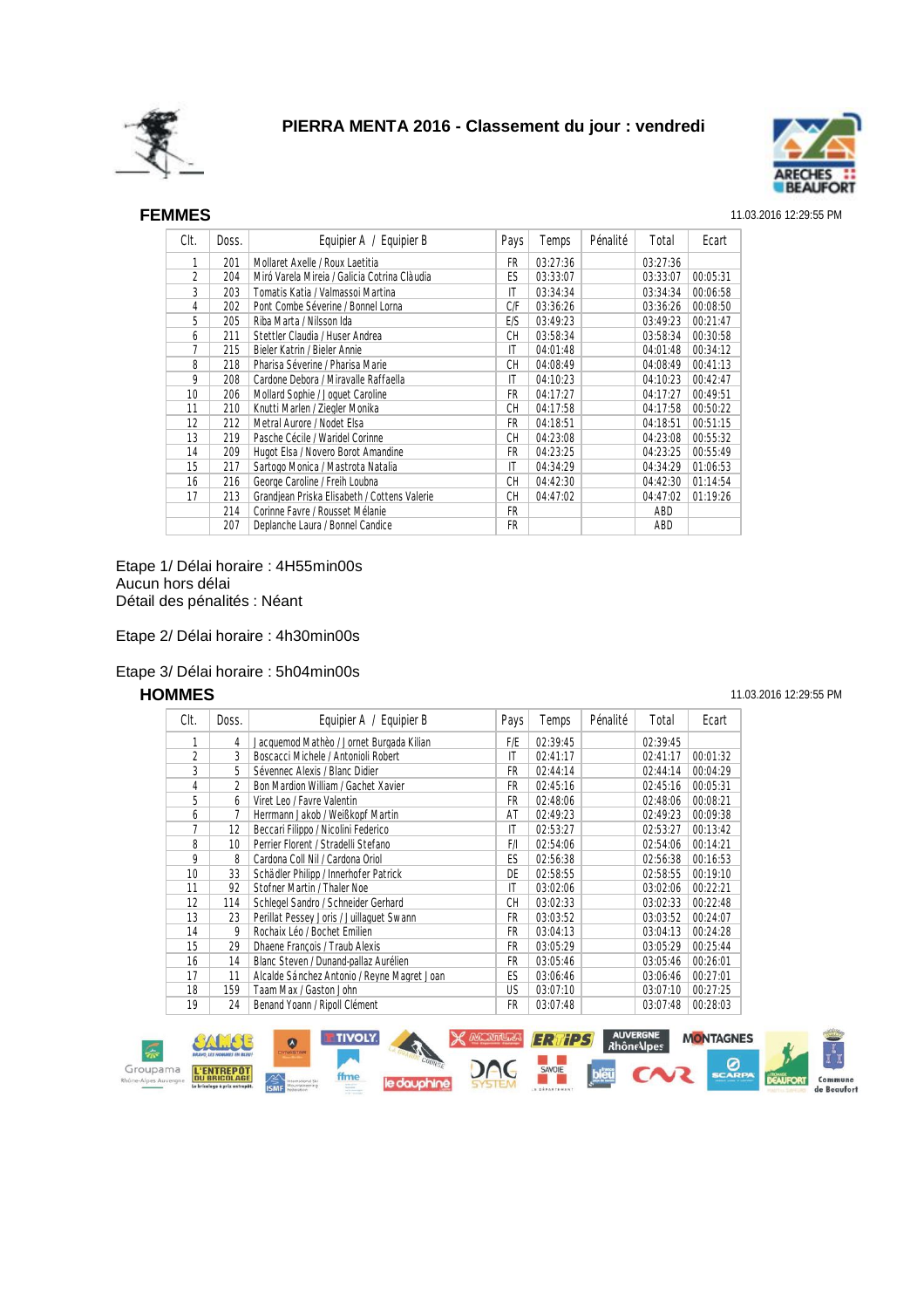



## SEF **FEMMES** 11.03.2016 12:29:55 PM

| Clt.            | Doss. | Equipier A / Equipier B                      | Pays      | Temps    | Pénalité | Total    | Ecart    |
|-----------------|-------|----------------------------------------------|-----------|----------|----------|----------|----------|
| 1               | 201   | Mollaret Axelle / Roux Laetitia              | FR        | 03:27:36 |          | 03:27:36 |          |
| 2               | 204   | Miró Varela Mireia / Galicia Cotrina Clàudia | ES        | 03:33:07 |          | 03:33:07 | 00:05:31 |
| 3               | 203   | Tomatis Katia / Valmassoi Martina            | IT        | 03:34:34 |          | 03:34:34 | 00:06:58 |
| 4               | 202   | Pont Combe Séverine / Bonnel Lorna           | C/F       | 03:36:26 |          | 03:36:26 | 00:08:50 |
| 5               | 205   | Riba Marta / Nilsson Ida                     | E/S       | 03:49:23 |          | 03:49:23 | 00:21:47 |
| 6               | 211   | Stettler Claudia / Huser Andrea              | СH        | 03:58:34 |          | 03:58:34 | 00:30:58 |
| 7               | 215   | Bieler Katrin / Bieler Annie                 | IT        | 04:01:48 |          | 04:01:48 | 00:34:12 |
| 8               | 218   | Pharisa Séverine / Pharisa Marie             | CH        | 04:08:49 |          | 04:08:49 | 00:41:13 |
| 9               | 208   | Cardone Debora / Miravalle Raffaella         | IT        | 04:10:23 |          | 04:10:23 | 00:42:47 |
| 10 <sup>1</sup> | 206   | Mollard Sophie / Joquet Caroline             | FR        | 04:17:27 |          | 04:17:27 | 00:49:51 |
| 11              | 210   | Knutti Marlen / Ziegler Monika               | <b>CH</b> | 04:17:58 |          | 04:17:58 | 00:50:22 |
| 12              | 212   | Metral Aurore / Nodet Elsa                   | FR        | 04:18:51 |          | 04:18:51 | 00:51:15 |
| 13              | 219   | Pasche Cécile / Waridel Corinne              | CН        | 04:23:08 |          | 04:23:08 | 00:55:32 |
| 14              | 209   | Hugot Elsa / Novero Borot Amandine           | FR        | 04:23:25 |          | 04:23:25 | 00:55:49 |
| 15              | 217   | Sartogo Monica / Mastrota Natalia            | IT        | 04:34:29 |          | 04:34:29 | 01:06:53 |
| 16              | 216   | George Caroline / Freih Loubna               | СH        | 04:42:30 |          | 04:42:30 | 01:14:54 |
| 17              | 213   | Grandjean Priska Elisabeth / Cottens Valerie | CН        | 04:47:02 |          | 04:47:02 | 01:19:26 |
|                 | 214   | Corinne Favre / Rousset Mélanie              | FR        |          |          | ABD      |          |
|                 | 207   | Deplanche Laura / Bonnel Candice             | FR        |          |          | ABD      |          |

Etape 1/ Délai horaire : 4H55min00s Aucun hors délai Détail des pénalités : Néant

Etape 2/ Délai horaire : 4h30min00s

## Etape 3/ Délai horaire : 5h04min00s

| Clt.            | Doss. | Equipier A / Equipier B                     | Pays | Temps    | Pénalité | Total    | Ecart    |
|-----------------|-------|---------------------------------------------|------|----------|----------|----------|----------|
| 1               | 4     | Jacquemod Mathèo / Jornet Burgada Kilian    | F/E  | 02:39:45 |          | 02:39:45 |          |
| $\overline{2}$  | 3     | Boscacci Michele / Antonioli Robert         | ΙT   | 02:41:17 |          | 02:41:17 | 00:01:32 |
| 3               | 5     | Sévennec Alexis / Blanc Didier              | FR   | 02:44:14 |          | 02:44:14 | 00:04:29 |
| 4               | 2     | Bon Mardion William / Gachet Xavier         | FR.  | 02:45:16 |          | 02:45:16 | 00:05:31 |
| 5               | 6     | Viret Leo / Favre Valentin                  | FR   | 02:48:06 |          | 02:48:06 | 00:08:21 |
| 6               |       | Herrmann Jakob / Weißkopf Martin            | AT   | 02:49:23 |          | 02:49:23 | 00:09:38 |
| 7               | 12    | Beccari Filippo / Nicolini Federico         | IT   | 02:53:27 |          | 02:53:27 | 00:13:42 |
| 8               | 10    | Perrier Florent / Stradelli Stefano         | F/I  | 02:54:06 |          | 02:54:06 | 00:14:21 |
| 9               | 8     | Cardona Coll Nil / Cardona Oriol            | ES   | 02:56:38 |          | 02:56:38 | 00:16:53 |
| 10 <sup>°</sup> | 33    | Schädler Philipp / Innerhofer Patrick       | DE   | 02:58:55 |          | 02:58:55 | 00:19:10 |
| 11              | 92    | Stofner Martin / Thaler Noe                 | ΙT   | 03:02:06 |          | 03:02:06 | 00:22:21 |
| 12              | 114   | Schlegel Sandro / Schneider Gerhard         | CН   | 03:02:33 |          | 03:02:33 | 00:22:48 |
| 13              | 23    | Perillat Pessey Joris / Juillaquet Swann    | FR.  | 03:03:52 |          | 03:03:52 | 00:24:07 |
| 14              | 9     | Rochaix Léo / Bochet Emilien                | FR   | 03:04:13 |          | 03:04:13 | 00:24:28 |
| 15              | 29    | Dhaene François / Traub Alexis              | FR   | 03:05:29 |          | 03:05:29 | 00:25:44 |
| 16              | 14    | Blanc Steven / Dunand-pallaz Aurélien       | FR   | 03:05:46 |          | 03:05:46 | 00:26:01 |
| 17              | 11    | Alcalde Sánchez Antonio / Reyne Magret Joan | ES   | 03:06:46 |          | 03:06:46 | 00:27:01 |
| 18              | 159   | Taam Max / Gaston John                      | US.  | 03:07:10 |          | 03:07:10 | 00:27:25 |
| 19              | 24    | Benand Yoann / Ripoll Clément               | FR   | 03:07:48 |          | 03:07:48 | 00:28:03 |



### **HOMMES** 11.03.2016 12:29:55 PM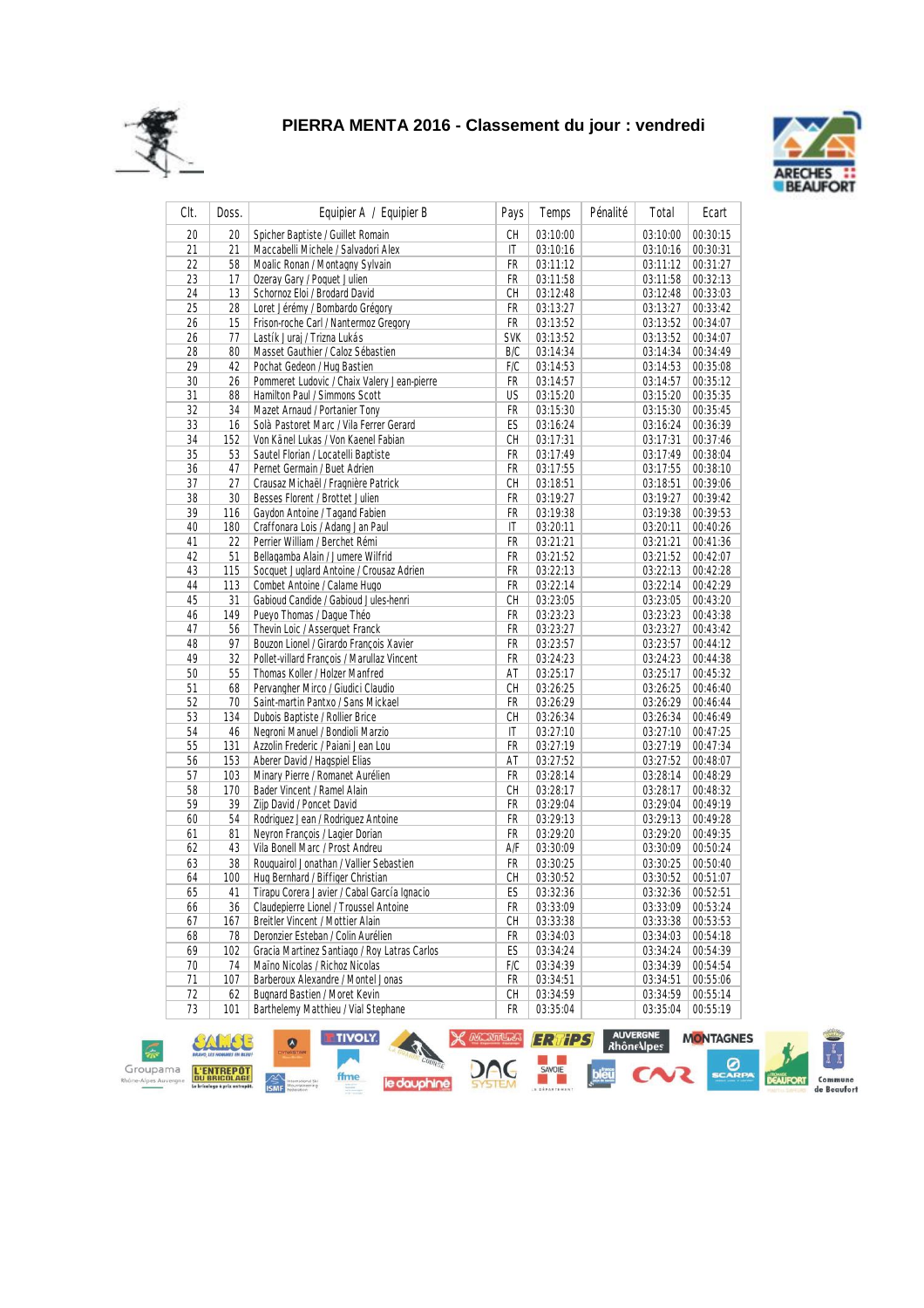



| CIt. | Doss.     | Equipier A / Equipier B                                         | Pays       | Temps    | Pénalité | Total                | Ecart                |
|------|-----------|-----------------------------------------------------------------|------------|----------|----------|----------------------|----------------------|
| 20   | 20        | Spicher Baptiste / Guillet Romain                               | CH         | 03:10:00 |          | 03:10:00             | 00:30:15             |
| 21   | 21        | Maccabelli Michele / Salvadori Alex                             | IT         | 03:10:16 |          | 03:10:16             | 00:30:31             |
| 22   | 58        | Moalic Ronan / Montagny Sylvain                                 | FR         | 03:11:12 |          | 03:11:12             | 00:31:27             |
| 23   | 17        | Ozeray Gary / Poquet Julien                                     | FR         | 03:11:58 |          | 03:11:58             | 00:32:13             |
| 24   | 13        | Schornoz Eloi / Brodard David                                   | CH         | 03:12:48 |          | 03:12:48             | 00:33:03             |
| 25   | 28        | Loret Jérémy / Bombardo Grégory                                 | FR         | 03:13:27 |          | 03:13:27             | 00:33:42             |
| 26   | 15        | Frison-roche Carl / Nantermoz Gregory                           | FR         | 03:13:52 |          | 03:13:52             | 00:34:07             |
| 26   | 77        | Lastík Juraj / Trizna Lukás                                     | <b>SVK</b> | 03:13:52 |          | 03:13:52             | 00:34:07             |
| 28   | 80        | Masset Gauthier / Caloz Sébastien                               | B/C        | 03:14:34 |          | 03:14:34             | 00:34:49             |
| 29   | 42        | Pochat Gedeon / Hug Bastien                                     | F/C        | 03:14:53 |          | 03:14:53             | 00:35:08             |
| 30   | 26        | Pommeret Ludovic / Chaix Valery Jean-pierre                     | FR         | 03:14:57 |          | 03:14:57             | 00:35:12             |
| 31   | 88        | Hamilton Paul / Simmons Scott                                   | US         | 03:15:20 |          | 03:15:20             | 00:35:35             |
| 32   | 34        | Mazet Arnaud / Portanier Tony                                   | FR         | 03:15:30 |          | 03:15:30             | 00:35:45             |
| 33   | 16        | Solà Pastoret Marc / Vila Ferrer Gerard                         | ES         | 03:16:24 |          | 03:16:24             | 00:36:39             |
| 34   | 152       | Von Känel Lukas / Von Kaenel Fabian                             | СH         | 03:17:31 |          | 03:17:31             | 00:37:46             |
| 35   | 53        | Sautel Florian / Locatelli Baptiste                             | FR         | 03:17:49 |          | 03:17:49             | 00:38:04             |
| 36   | 47        | Pernet Germain / Buet Adrien                                    | FR         | 03:17:55 |          | 03:17:55             | 00:38:10             |
| 37   | 27        | Crausaz Michaël / Fragnière Patrick                             | СH         | 03:18:51 |          | 03:18:51             | 00:39:06             |
| 38   | 30        | Besses Florent / Brottet Julien                                 | FR         | 03:19:27 |          | 03:19:27             | 00:39:42             |
| 39   | 116       | Gaydon Antoine / Tagand Fabien                                  | FR         | 03:19:38 |          | 03:19:38             | 00:39:53             |
| 40   | 180       | Craffonara Lois / Adang Jan Paul                                | IT         | 03:20:11 |          | 03:20:11             | 00:40:26             |
| 41   | 22        | Perrier William / Berchet Rémi                                  | FR         | 03:21:21 |          | 03:21:21             | 00:41:36             |
| 42   | 51        | Bellagamba Alain / Jumere Wilfrid                               | FR         | 03:21:52 |          | 03:21:52             | 00:42:07             |
| 43   | 115       | Socquet Juglard Antoine / Crousaz Adrien                        | FR         | 03:22:13 |          | 03:22:13             | 00:42:28             |
| 44   | 113       | Combet Antoine / Calame Hugo                                    | FR         | 03:22:14 |          | 03:22:14             | 00:42:29             |
| 45   | 31        | Gabioud Candide / Gabioud Jules-henri                           | CH         | 03:23:05 |          | 03:23:05             | 00:43:20             |
| 46   | 149       | Pueyo Thomas / Daque Théo                                       | FR         | 03:23:23 |          | 03:23:23             | 00:43:38             |
| 47   | 56        | Thevin Loic / Asserguet Franck                                  | FR         | 03:23:27 |          | 03:23:27             | 00:43:42             |
| 48   | 97        | Bouzon Lionel / Girardo François Xavier                         | FR         | 03:23:57 |          | 03:23:57             | 00:44:12             |
| 49   | 32        | Pollet-villard François / Marullaz Vincent                      | FR         | 03:24:23 |          | 03:24:23             | 00:44:38             |
| 50   | 55        | Thomas Koller / Holzer Manfred                                  | AT         | 03:25:17 |          | 03:25:17             | 00:45:32             |
| 51   | 68        | Pervangher Mirco / Giudici Claudio                              | CH         | 03:26:25 |          | 03:26:25             | 00:46:40             |
| 52   | 70        | Saint-martin Pantxo / Sans Mickael                              | FR         | 03:26:29 |          | 03:26:29             | 00:46:44             |
| 53   | 134       | Dubois Baptiste / Rollier Brice                                 | CH         | 03:26:34 |          | 03:26:34             | 00:46:49             |
| 54   | 46        | Negroni Manuel / Bondioli Marzio                                | IT         | 03:27:10 |          | 03:27:10             |                      |
| 55   | 131       | Azzolin Frederic / Paiani Jean Lou                              | FR         | 03:27:19 |          | 03:27:19             | 00:47:25<br>00:47:34 |
|      |           |                                                                 |            |          |          |                      |                      |
| 56   | 153       | Aberer David / Hagspiel Elias                                   | AT<br>FR   | 03:27:52 |          | 03:27:52             | 00:48:07             |
| 57   | 103       | Minary Pierre / Romanet Aurélien                                |            | 03:28:14 |          | 03:28:14             | 00:48:29             |
| 58   | 170<br>39 | Bader Vincent / Ramel Alain                                     | СH         | 03:28:17 |          | 03:28:17<br>03:29:04 | 00:48:32             |
| 59   |           | Zijp David / Poncet David<br>Rodriguez Jean / Rodriguez Antoine | FR         | 03:29:04 |          |                      | 00:49:19             |
| 60   | 54        |                                                                 | FR         | 03:29:13 |          | 03:29:13             | 00:49:28             |
| 61   | 81        | Neyron François / Lagier Dorian                                 | FR         | 03:29:20 |          | 03:29:20             | 00:49:35             |
| 62   | 43        | Vila Bonell Marc / Prost Andreu                                 | A/F        | 03:30:09 |          | 03:30:09             | 00:50:24             |
| 63   | 38        | Rouguairol Jonathan / Vallier Sebastien                         | FR         | 03:30:25 |          | 03:30:25             | 00:50:40             |
| 64   | 100       | Hug Bernhard / Biffiger Christian                               | СH         | 03:30:52 |          | 03:30:52             | 00:51:07             |
| 65   | 41        | Tirapu Corera Javier / Cabal García Ignacio                     | ES         | 03:32:36 |          | 03:32:36             | 00:52:51             |
| 66   | 36        | Claudepierre Lionel / Troussel Antoine                          | FR         | 03:33:09 |          | 03:33:09             | 00:53:24             |
| 67   | 167       | Breitler Vincent / Mottier Alain                                | СH         | 03:33:38 |          | 03:33:38             | 00:53:53             |
| 68   | 78        | Deronzier Esteban / Colin Aurélien                              | FR         | 03:34:03 |          | 03:34:03             | 00:54:18             |
| 69   | 102       | Gracia Martinez Santiago / Roy Latras Carlos                    | ES         | 03:34:24 |          | 03:34:24             | 00:54:39             |
| 70   | 74        | Maïno Nicolas / Richoz Nicolas                                  | F/C        | 03:34:39 |          | 03:34:39             | 00:54:54             |
| 71   | 107       | Barberoux Alexandre / Montel Jonas                              | FR         | 03:34:51 |          | 03:34:51             | 00:55:06             |
| 72   | 62        | <b>Bugnard Bastien / Moret Kevin</b>                            | СH         | 03:34:59 |          | 03:34:59             | 00:55:14             |
| 73   | 101       | Barthelemy Matthieu / Vial Stephane                             | FR         | 03:35:04 |          | 03:35:04             | 00:55:19             |

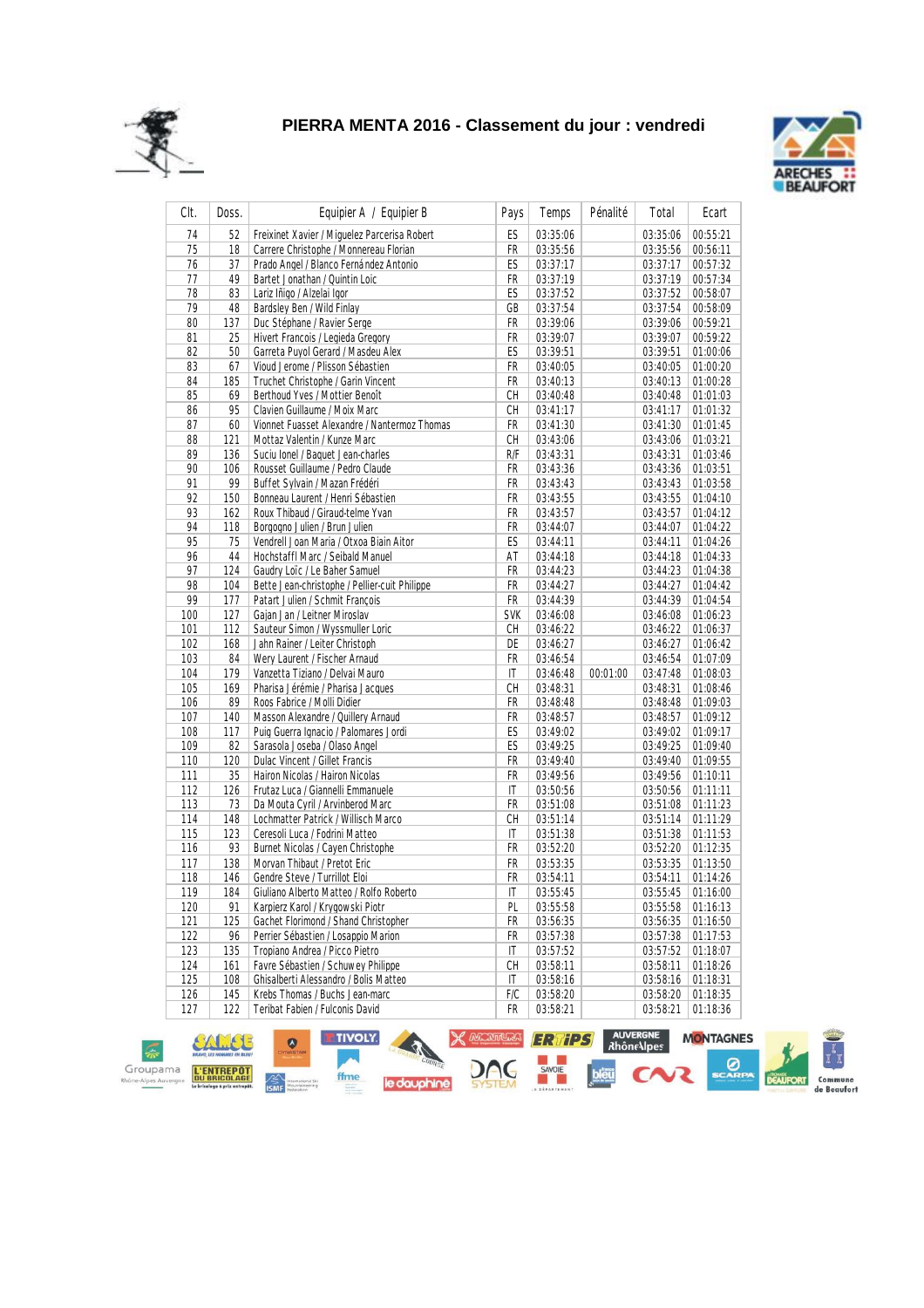



| CIt.       | Doss. | Equipier A / Equipier B                       | Pays         | Temps    | Pénalité | Total    | Ecart    |
|------------|-------|-----------------------------------------------|--------------|----------|----------|----------|----------|
| 74         | 52    | Freixinet Xavier / Miquelez Parcerisa Robert  | ES           | 03:35:06 |          | 03:35:06 | 00:55:21 |
| 75         | 18    | Carrere Christophe / Monnereau Florian        | FR           | 03:35:56 |          | 03:35:56 | 00:56:11 |
| 76         | 37    | Prado Angel / Blanco Fernández Antonio        | ES           | 03:37:17 |          | 03:37:17 | 00:57:32 |
| 77         | 49    | Bartet Jonathan / Quintin Loic                | FR           | 03:37:19 |          | 03:37:19 | 00:57:34 |
| 78         | 83    | Lariz Iñigo / Alzelai Igor                    | ES           | 03:37:52 |          | 03:37:52 | 00:58:07 |
| 79         | 48    | Bardsley Ben / Wild Finlay                    | GB           | 03:37:54 |          | 03:37:54 | 00:58:09 |
| 80         | 137   | Duc Stéphane / Ravier Serge                   | FR           | 03:39:06 |          | 03:39:06 | 00:59:21 |
| 81         | 25    | Hivert Francois / Legieda Gregory             | FR           | 03:39:07 |          | 03:39:07 | 00:59:22 |
| 82         | 50    | Garreta Puyol Gerard / Masdeu Alex            | ES           | 03:39:51 |          | 03:39:51 | 01:00:06 |
| 83         | 67    | Vioud Jerome / Plisson Sébastien              | FR           | 03:40:05 |          | 03:40:05 | 01:00:20 |
| 84         | 185   | Truchet Christophe / Garin Vincent            | FR           | 03:40:13 |          | 03:40:13 | 01:00:28 |
| 85         | 69    | Berthoud Yves / Mottier Benoît                | CН           | 03:40:48 |          | 03:40:48 | 01:01:03 |
| 86         | 95    | Clavien Guillaume / Moix Marc                 | СH           | 03:41:17 |          | 03:41:17 | 01:01:32 |
| 87         | 60    | Vionnet Fuasset Alexandre / Nantermoz Thomas  | FR           | 03:41:30 |          | 03:41:30 | 01:01:45 |
| 88         | 121   | Mottaz Valentin / Kunze Marc                  | CН           | 03:43:06 |          | 03:43:06 | 01:03:21 |
| 89         | 136   | Suciu Ionel / Baquet Jean-charles             | R/F          | 03:43:31 |          | 03:43:31 | 01:03:46 |
| 90         | 106   | Rousset Guillaume / Pedro Claude              | FR           | 03:43:36 |          | 03:43:36 | 01:03:51 |
| 91         | 99    | Buffet Sylvain / Mazan Frédéri                | FR           | 03:43:43 |          | 03:43:43 | 01:03:58 |
| 92         | 150   | Bonneau Laurent / Henri Sébastien             | FR           | 03:43:55 |          | 03:43:55 | 01:04:10 |
| 93         | 162   | Roux Thibaud / Giraud-telme Yvan              | FR           | 03:43:57 |          | 03:43:57 | 01:04:12 |
| 94         | 118   | Borgogno Julien / Brun Julien                 | FR           | 03:44:07 |          | 03:44:07 | 01:04:22 |
| 95         | 75    | Vendrell Joan Maria / Otxoa Biain Aitor       | ES           | 03:44:11 |          | 03:44:11 | 01:04:26 |
| 96         | 44    | Hochstaffl Marc / Seibald Manuel              | AT           | 03:44:18 |          | 03:44:18 | 01:04:33 |
| 97         | 124   | Gaudry Loïc / Le Baher Samuel                 | FR           | 03:44:23 |          | 03:44:23 | 01:04:38 |
| 98         | 104   | Bette Jean-christophe / Pellier-cuit Philippe | FR           | 03:44:27 |          | 03:44:27 | 01:04:42 |
| 99         | 177   | Patart Julien / Schmit Francois               | FR           | 03:44:39 |          | 03:44:39 | 01:04:54 |
| 100        | 127   | Gajan Jan / Leitner Miroslav                  | <b>SVK</b>   | 03:46:08 |          | 03:46:08 | 01:06:23 |
| 101        | 112   | Sauteur Simon / Wyssmuller Loric              | CН           | 03:46:22 |          | 03:46:22 | 01:06:37 |
| 102        | 168   | Jahn Rainer / Leiter Christoph                | DE           | 03:46:27 |          | 03:46:27 | 01:06:42 |
| 103        | 84    | Wery Laurent / Fischer Arnaud                 | FR           | 03:46:54 |          | 03:46:54 | 01:07:09 |
| 104        | 179   | Vanzetta Tiziano / Delvai Mauro               | IT           | 03:46:48 | 00:01:00 | 03:47:48 | 01:08:03 |
| 105        | 169   | Pharisa Jérémie / Pharisa Jacques             | СH           | 03:48:31 |          | 03:48:31 | 01:08:46 |
| 106        | 89    | Roos Fabrice / Molli Didier                   | FR           | 03:48:48 |          | 03:48:48 | 01:09:03 |
| 107        | 140   | Masson Alexandre / Quillery Arnaud            | FR           | 03:48:57 |          | 03:48:57 | 01:09:12 |
| 108        | 117   | Puig Guerra Ignacio / Palomares Jordi         | ES           | 03:49:02 |          | 03:49:02 | 01:09:17 |
| 109        | 82    | Sarasola Joseba / Olaso Angel                 | ES           | 03:49:25 |          | 03:49:25 | 01:09:40 |
| 110        | 120   | Dulac Vincent / Gillet Francis                | FR           | 03:49:40 |          | 03:49:40 | 01:09:55 |
| 111        | 35    | Hairon Nicolas / Hairon Nicolas               | FR           | 03:49:56 |          | 03:49:56 | 01:10:11 |
| 112        | 126   | Frutaz Luca / Giannelli Emmanuele             | IT           | 03:50:56 |          | 03:50:56 | 01:11:11 |
| 113        | 73    | Da Mouta Cyril / Arvinberod Marc              | FR           | 03:51:08 |          | 03:51:08 | 01:11:23 |
| 114        | 148   | Lochmatter Patrick / Willisch Marco           | СH           | 03:51:14 |          | 03:51:14 | 01:11:29 |
| 115        | 123   | Ceresoli Luca / Fodrini Matteo                | IT           | 03:51:38 |          | 03:51:38 | 01:11:53 |
| 116        | 93    | Burnet Nicolas / Cayen Christophe             | FR           | 03:52:20 |          | 03:52:20 | 01:12:35 |
| 117        | 138   | Morvan Thibaut / Pretot Eric                  | FR           | 03:53:35 |          | 03:53:35 | 01:13:50 |
| 118        | 146   | Gendre Steve / Turrillot Eloi                 | FR           | 03:54:11 |          | 03:54:11 | 01:14:26 |
| <u>119</u> | 184   | Giuliano Alberto Matteo / Rolfo Roberto       | $\mathbf{I}$ | 03:55:45 |          | 03:55:45 | 01:16:00 |
| 120        | 91    | Karpierz Karol / Krygowski Piotr              | PL           | 03:55:58 |          | 03:55:58 | 01:16:13 |
| 121        | 125   | Gachet Florimond / Shand Christopher          | FR           | 03:56:35 |          | 03:56:35 | 01:16:50 |
| 122        | 96    | Perrier Sébastien / Losappio Marion           | FR           | 03:57:38 |          | 03:57:38 | 01:17:53 |
| 123        | 135   | Tropiano Andrea / Picco Pietro                | IT           | 03:57:52 |          | 03:57:52 | 01:18:07 |
| 124        | 161   | Favre Sébastien / Schuwey Philippe            | CН           | 03:58:11 |          | 03:58:11 | 01:18:26 |
| 125        | 108   | Ghisalberti Alessandro / Bolis Matteo         | IT           | 03:58:16 |          | 03:58:16 | 01:18:31 |
| 126        | 145   | Krebs Thomas / Buchs Jean-marc                | F/C          | 03:58:20 |          | 03:58:20 | 01:18:35 |
| 127        | 122   | Teribat Fabien / Fulconis David               | FR           | 03:58:21 |          | 03:58:21 | 01:18:36 |
|            |       |                                               |              |          |          |          |          |

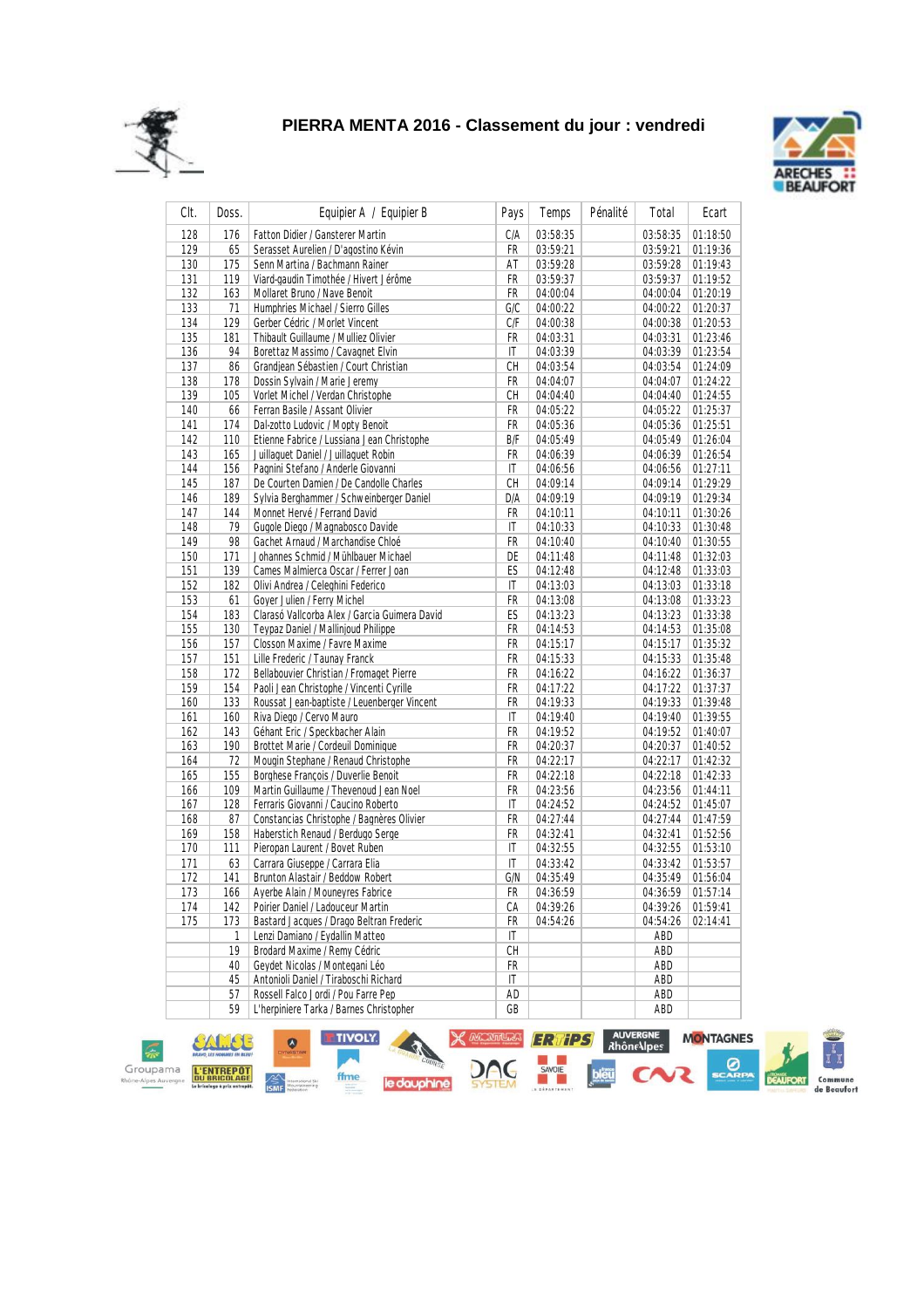



| CIt. | Doss. | Equipier A / Equipier B                       | Pays | Temps    | Pénalité | Total    | Ecart    |
|------|-------|-----------------------------------------------|------|----------|----------|----------|----------|
| 128  | 176   | Fatton Didier / Gansterer Martin              | C/A  | 03:58:35 |          | 03:58:35 | 01:18:50 |
| 129  | 65    | Serasset Aurelien / D'agostino Kévin          | FR   | 03:59:21 |          | 03:59:21 | 01:19:36 |
| 130  | 175   | Senn Martina / Bachmann Rainer                | AT   | 03:59:28 |          | 03:59:28 | 01:19:43 |
| 131  | 119   | Viard-gaudin Timothée / Hivert Jérôme         | FR   | 03:59:37 |          | 03:59:37 | 01:19:52 |
| 132  | 163   | Mollaret Bruno / Nave Benoit                  | FR   | 04:00:04 |          | 04:00:04 | 01:20:19 |
| 133  | 71    | Humphries Michael / Sierro Gilles             | G/C  | 04:00:22 |          | 04:00:22 | 01:20:37 |
| 134  | 129   | Gerber Cédric / Morlet Vincent                | C/F  | 04:00:38 |          | 04:00:38 | 01:20:53 |
| 135  | 181   | Thibault Guillaume / Mulliez Olivier          | FR   | 04:03:31 |          | 04:03:31 | 01:23:46 |
| 136  | 94    | Borettaz Massimo / Cavagnet Elvin             | ΙT   | 04:03:39 |          | 04:03:39 | 01:23:54 |
| 137  | 86    | Grandjean Sébastien / Court Christian         | CH   | 04:03:54 |          | 04:03:54 | 01:24:09 |
| 138  | 178   | Dossin Sylvain / Marie Jeremy                 | FR   | 04:04:07 |          | 04:04:07 | 01:24:22 |
| 139  | 105   | Vorlet Michel / Verdan Christophe             | СH   | 04:04:40 |          | 04:04:40 | 01:24:55 |
| 140  | 66    | Ferran Basile / Assant Olivier                | FR   | 04:05:22 |          | 04:05:22 | 01:25:37 |
| 141  | 174   | Dal-zotto Ludovic / Mopty Benoit              | FR   | 04:05:36 |          | 04:05:36 | 01:25:51 |
| 142  | 110   | Etienne Fabrice / Lussiana Jean Christophe    | B/F  | 04:05:49 |          | 04:05:49 | 01:26:04 |
| 143  | 165   | Juillaquet Daniel / Juillaquet Robin          | FR   | 04:06:39 |          | 04:06:39 | 01:26:54 |
| 144  | 156   | Pagnini Stefano / Anderle Giovanni            | ΙT   | 04:06:56 |          | 04:06:56 | 01:27:11 |
| 145  | 187   | De Courten Damien / De Candolle Charles       | CH   | 04:09:14 |          | 04:09:14 | 01:29:29 |
| 146  | 189   | Sylvia Berghammer / Schweinberger Daniel      | D/A  | 04:09:19 |          | 04:09:19 | 01:29:34 |
| 147  | 144   | Monnet Hervé / Ferrand David                  | FR   | 04:10:11 |          | 04:10:11 | 01:30:26 |
| 148  | 79    | Gugole Diego / Magnabosco Davide              | IT   | 04:10:33 |          | 04:10:33 | 01:30:48 |
| 149  | 98    | Gachet Arnaud / Marchandise Chloé             | FR   | 04:10:40 |          | 04:10:40 | 01:30:55 |
| 150  | 171   | Johannes Schmid / Mühlbauer Michael           | DE   | 04:11:48 |          | 04:11:48 | 01:32:03 |
| 151  | 139   | Cames Malmierca Oscar / Ferrer Joan           | ES   | 04:12:48 |          | 04:12:48 | 01:33:03 |
| 152  | 182   | Olivi Andrea / Celeghini Federico             | ΙT   | 04:13:03 |          | 04:13:03 | 01:33:18 |
| 153  | 61    | Goyer Julien / Ferry Michel                   | FR   | 04:13:08 |          | 04:13:08 | 01:33:23 |
| 154  | 183   | Clarasó Vallcorba Alex / Garcia Guimera David | ES   | 04:13:23 |          | 04:13:23 | 01:33:38 |
| 155  | 130   | Teypaz Daniel / Mallinjoud Philippe           | FR   | 04:14:53 |          | 04:14:53 | 01:35:08 |
| 156  | 157   | Closson Maxime / Favre Maxime                 | FR   | 04:15:17 |          | 04:15:17 | 01:35:32 |
| 157  | 151   | Lille Frederic / Taunay Franck                | FR   | 04:15:33 |          | 04:15:33 | 01:35:48 |
| 158  | 172   | Bellabouvier Christian / Fromaget Pierre      | FR   | 04:16:22 |          | 04:16:22 | 01:36:37 |
| 159  | 154   | Paoli Jean Christophe / Vincenti Cyrille      | FR   | 04:17:22 |          | 04:17:22 | 01:37:37 |
| 160  | 133   | Roussat Jean-baptiste / Leuenberger Vincent   | FR   | 04:19:33 |          | 04:19:33 | 01:39:48 |
| 161  | 160   | Riva Diego / Cervo Mauro                      | IT   | 04:19:40 |          | 04:19:40 | 01:39:55 |
| 162  | 143   | Géhant Eric / Speckbacher Alain               | FR   | 04:19:52 |          | 04:19:52 | 01:40:07 |
| 163  | 190   | Brottet Marie / Cordeuil Dominique            | FR   | 04:20:37 |          | 04:20:37 | 01:40:52 |
| 164  | 72    | Mougin Stephane / Renaud Christophe           | FR   | 04:22:17 |          | 04:22:17 | 01:42:32 |
| 165  | 155   | Borghese François / Duverlie Benoit           | FR   | 04:22:18 |          | 04:22:18 | 01:42:33 |
| 166  | 109   | Martin Guillaume / Thevenoud Jean Noel        | FR   | 04:23:56 |          | 04:23:56 | 01:44:11 |
| 167  | 128   | Ferraris Giovanni / Caucino Roberto           | ΙT   | 04:24:52 |          | 04:24:52 | 01:45:07 |
| 168  | 87    | Constancias Christophe / Bagnères Olivier     | FR   | 04:27:44 |          | 04:27:44 | 01:47:59 |
| 169  | 158   | Haberstich Renaud / Berdugo Serge             | FR   | 04:32:41 |          | 04:32:41 | 01:52:56 |
| 170  | 111   | Pieropan Laurent / Bovet Ruben                | IT   | 04:32:55 |          | 04:32:55 | 01:53:10 |
| 171  | 63    | Carrara Giuseppe / Carrara Elia               | IT   | 04:33:42 |          | 04:33:42 | 01:53:57 |
| 172  | 141   | Brunton Alastair / Beddow Robert              | G/N  | 04:35:49 |          | 04:35:49 | 01:56:04 |
| 173  | 166   | Averbe Alain / Mounevres Fabrice              | FR   | 04:36:59 |          | 04:36:59 | 01:57:14 |
| 174  | 142   | Poirier Daniel / Ladouceur Martin             | СA   | 04:39:26 |          | 04:39:26 | 01:59:41 |
| 175  | 173   | Bastard Jacques / Drago Beltran Frederic      | FR   | 04:54:26 |          | 04:54:26 | 02:14:41 |
|      | 1     | Lenzi Damiano / Eydallin Matteo               | IT   |          |          | ABD      |          |
|      | 19    | Brodard Maxime / Remy Cédric                  | СH   |          |          | ABD      |          |
|      | 40    | Gevdet Nicolas / Montegani Léo                | FR   |          |          | ABD      |          |
|      | 45    | Antonioli Daniel / Tiraboschi Richard         | IT   |          |          | ABD      |          |
|      | 57    | Rossell Falco Jordi / Pou Farre Pep           | AD   |          |          | ABD      |          |
|      | 59    | L'herpiniere Tarka / Barnes Christopher       | GB   |          |          | ABD      |          |
|      |       |                                               |      |          |          |          |          |